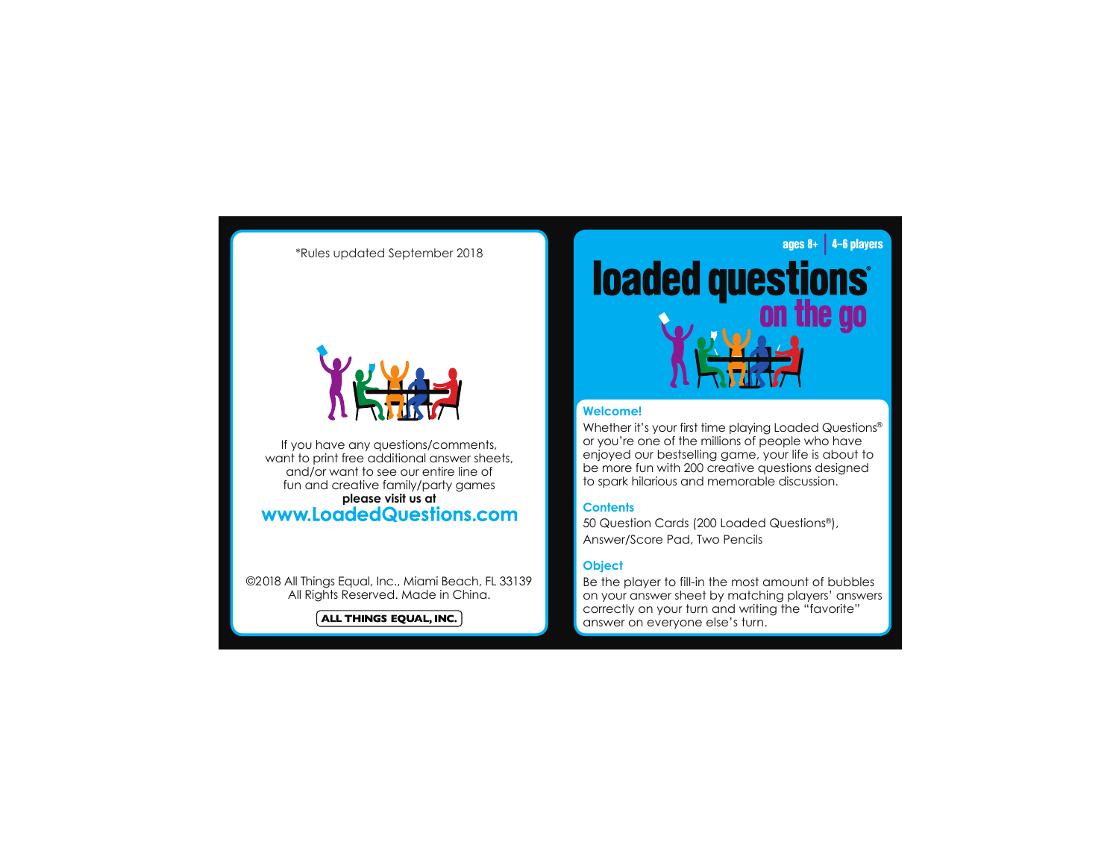\*Rules updated September 2018



If you have any questions/comments, want to print free additional answer sheets, and/or want to see our entire line of fun and creative family/party games please visit us at<br>**www.LoadedQuestions.com** 

©2018 All Things Equal, Inc., Miami Beach, FL 33139 All Rights Reserved. Made in China.

 $\acute{}\$  ALL THINGS EQUAL, INC.  $\dot{}\$ 

# **The Second Second Design Second Second Second Second Second Second Second Second Second Second Second Second Second Second Second Second Second Second Second Second Second Second Second Second Second Second Second Second**

### **Welcome!**

Whether it's your first time playing Loaded Questions® or you're one of the millions of people who have enjoyed our bestselling game, your life is about to be more fun with 200 creative questions designed to spark hilarious and memorable discussion.

# **Contents**

50 Question Cards (200 Loaded Questions®), Answer/Score Pad, Two Pencils

# **Object**

Be the player to fill-in the most amount of bubbles on your answer sheet by matching players' answers correctly on your turn and writing the "favorite" answer on everyone else's turn.